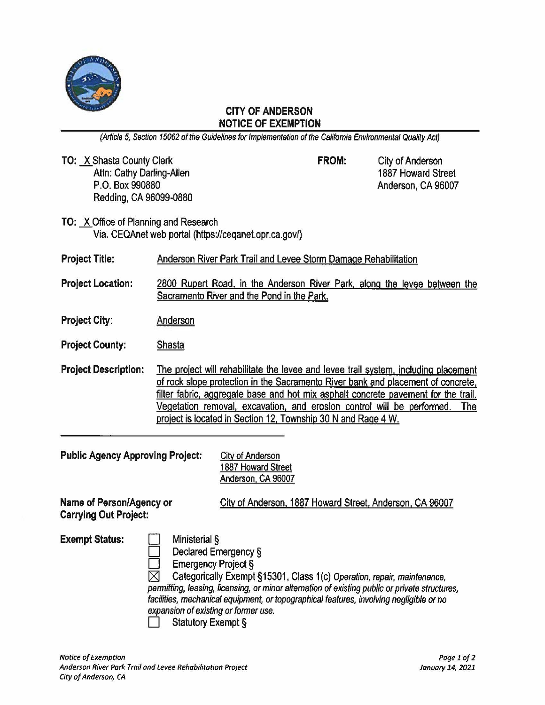

## **CITY OF ANDERSON NOTICE OF EXEMPTION**

(Article 5, Section 15062 of the Guidelines for Implementation of the California Environmental Quality Act)

**TO: X Shasta County Clerk** Attn: Cathy Darling-Allen P.O. Box 990880 Redding, CA 96099-0880

**FROM:** City of Anderson 1887 Howard Street Anderson, CA 96007

**TO:** X Office of Planning and Research Via. CEQAnet web portal (https://ceqanet.opr.ca.gov/)

| <b>Project Title:</b> | Anderson River Park Trail and Levee Storm Damage Rehabilitation |
|-----------------------|-----------------------------------------------------------------|
|                       |                                                                 |

- **Project Location:** 2800 Rupert Road. in the Anderson River Park. along the levee between the Sacramento River and the Pond in the Park.
- **Project City:** Anderson
- **Project County:** Shasta
- **Project Description:** The project will rehabilitate the levee and levee trail system. including placement of rock slope protection in the Sacramento River bank and placement of concrete. filter fabric. aggregate base and hot mix asphalt concrete pavement for the trail. Vegetation removal. excavation, and erosion control will be performed. The project is located in Section 12, Township 30 **N** and Rage 4 W.

Public Agency Approving Project: City of Anderson

1887 Howard Street Anderson. CA 96007

**Carrying Out Project:** 

**Name of Person/Agency or City of Anderson, 1887 Howard Street, Anderson, CA 96007** 

**Exempt Status:** 

 $\Box$  $\bar{\Box}$ Ministerial§

Declared Emergency§

 $\Box$ Emergency Project §

 $\boxtimes$  Categorically Exempt §15301, Class 1(c) Operation, repair, maintenance, permitting, leasing, licensing, or minor alternation of existing public or private structures, facilities, mechanical equipment, or topographical features, involving negligible or no expansion of existing or former use.

Statutory Exempt §